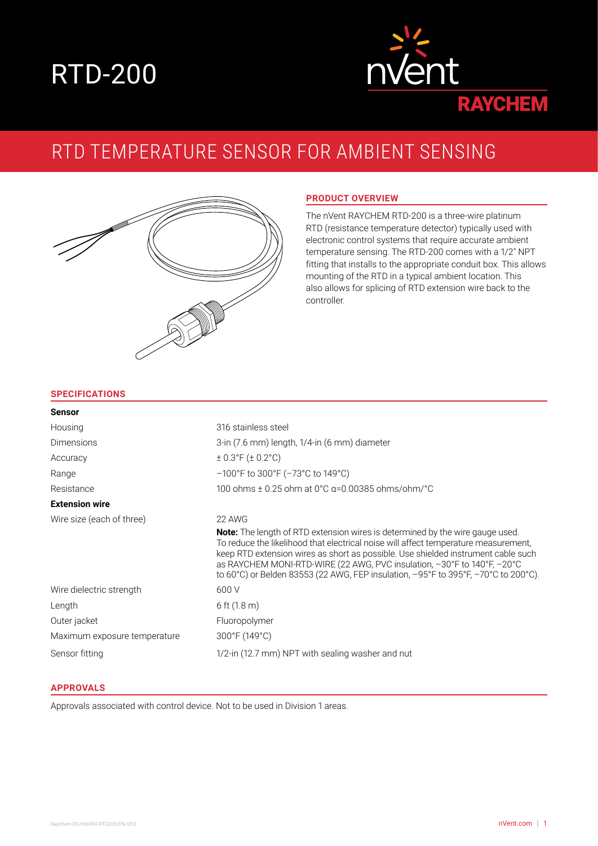# RTD-200



# RTD TEMPERATURE SENSOR FOR AMBIENT SENSING



## **PRODUCT OVERVIEW**

The nVent RAYCHEM RTD-200 is a three-wire platinum RTD (resistance temperature detector) typically used with electronic control systems that require accurate ambient temperature sensing. The RTD-200 comes with a 1/2" NPT fitting that installs to the appropriate conduit box. This allows mounting of the RTD in a typical ambient location. This also allows for splicing of RTD extension wire back to the controller.

#### **SPECIFICATIONS**

| <b>Sensor</b>                |                                                                                                                                                                                                                                                                                                                                                                                                                                                                  |
|------------------------------|------------------------------------------------------------------------------------------------------------------------------------------------------------------------------------------------------------------------------------------------------------------------------------------------------------------------------------------------------------------------------------------------------------------------------------------------------------------|
| Housing                      | 316 stainless steel                                                                                                                                                                                                                                                                                                                                                                                                                                              |
| <b>Dimensions</b>            | 3-in (7.6 mm) length, 1/4-in (6 mm) diameter                                                                                                                                                                                                                                                                                                                                                                                                                     |
| Accuracy                     | $\pm$ 0.3°F ( $\pm$ 0.2°C)                                                                                                                                                                                                                                                                                                                                                                                                                                       |
| Range                        | $-100^{\circ}$ F to 300 $^{\circ}$ F ( $-73^{\circ}$ C to 149 $^{\circ}$ C)                                                                                                                                                                                                                                                                                                                                                                                      |
| Resistance                   | 100 ohms $\pm$ 0.25 ohm at 0°C $\alpha$ =0.00385 ohms/ohm/°C                                                                                                                                                                                                                                                                                                                                                                                                     |
| <b>Extension wire</b>        |                                                                                                                                                                                                                                                                                                                                                                                                                                                                  |
| Wire size (each of three)    | 22 AWG                                                                                                                                                                                                                                                                                                                                                                                                                                                           |
|                              | <b>Note:</b> The length of RTD extension wires is determined by the wire gauge used.<br>To reduce the likelihood that electrical noise will affect temperature measurement,<br>keep RTD extension wires as short as possible. Use shielded instrument cable such<br>as RAYCHEM MONI-RTD-WIRE (22 AWG, PVC insulation, $-30^{\circ}$ F to 140 $^{\circ}$ F, $-20^{\circ}$ C<br>to 60°C) or Belden 83553 (22 AWG, FEP insulation, -95°F to 395°F, -70°C to 200°C). |
| Wire dielectric strength     | 600 V                                                                                                                                                                                                                                                                                                                                                                                                                                                            |
| Length                       | 6 ft $(1.8 \text{ m})$                                                                                                                                                                                                                                                                                                                                                                                                                                           |
| Outer jacket                 | Fluoropolymer                                                                                                                                                                                                                                                                                                                                                                                                                                                    |
| Maximum exposure temperature | 300°F (149°C)                                                                                                                                                                                                                                                                                                                                                                                                                                                    |
| Sensor fitting               | 1/2-in (12.7 mm) NPT with sealing washer and nut                                                                                                                                                                                                                                                                                                                                                                                                                 |

#### **APPROVALS**

Approvals associated with control device. Not to be used in Division 1 areas.